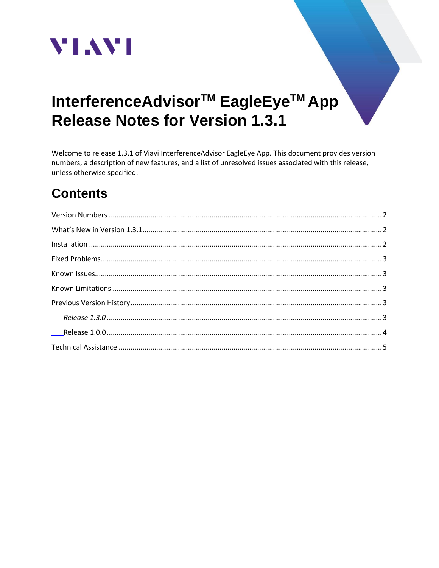

# InterferenceAdvisor<sup>™</sup> EagleEye<sup>™</sup> App **Release Notes for Version 1.3.1**

Welcome to release 1.3.1 of Viavi InterferenceAdvisor EagleEye App. This document provides version numbers, a description of new features, and a list of unresolved issues associated with this release, unless otherwise specified.

# **Contents**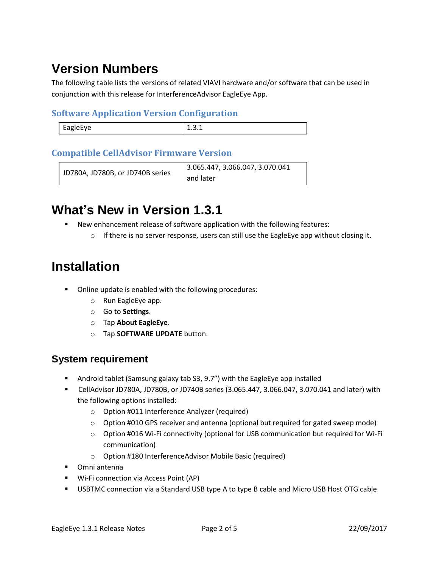# <span id="page-1-0"></span>**Version Numbers**

The following table lists the versions of related VIAVI hardware and/or software that can be used in conjunction with this release for InterferenceAdvisor EagleEye App.

#### **Software Application Version Configuration**

| $\rightarrow$<br><b></b><br>--<br>-- |  |
|--------------------------------------|--|
|                                      |  |

#### **Compatible CellAdvisor Firmware Version**

```
JD780A, JD780B, or JD740B series
                          3.065.447, 3.066.047, 3.070.041 
                          and later
```
### <span id="page-1-1"></span>**What's New in Version 1.3.1**

- New enhancement release of software application with the following features:
	- $\circ$  If there is no server response, users can still use the EagleEye app without closing it.

### <span id="page-1-2"></span>**Installation**

- Online update is enabled with the following procedures:
	- o Run EagleEye app.
	- o Go to **Settings**.
	- o Tap **About EagleEye**.
	- o Tap **SOFTWARE UPDATE** button.

#### **System requirement**

- Android tablet (Samsung galaxy tab S3, 9.7") with the EagleEye app installed
- CellAdvisor JD780A, JD780B, or JD740B series (3.065.447, 3.066.047, 3.070.041 and later) with the following options installed:
	- o Option #011 Interference Analyzer (required)
	- $\circ$  Option #010 GPS receiver and antenna (optional but required for gated sweep mode)
	- o Option #016 Wi-Fi connectivity (optional for USB communication but required for Wi-Fi communication)
	- o Option #180 InterferenceAdvisor Mobile Basic (required)
- Omni antenna
- Wi-Fi connection via Access Point (AP)
- **■** USBTMC connection via a Standard USB type A to type B cable and Micro USB Host OTG cable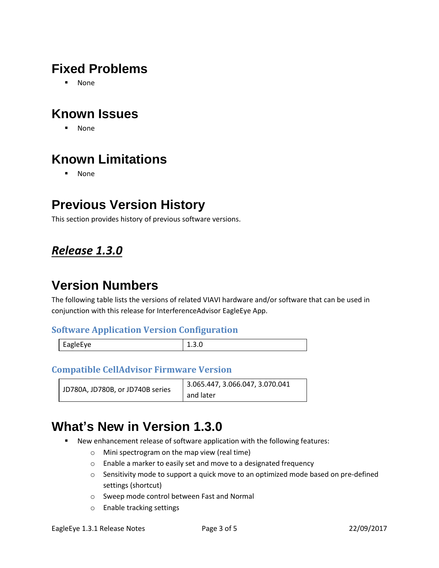### <span id="page-2-0"></span>**Fixed Problems**

▪ None

### <span id="page-2-1"></span>**Known Issues**

▪ None

# <span id="page-2-2"></span>**Known Limitations**

▪ None

### <span id="page-2-3"></span>**Previous Version History**

This section provides history of previous software versions.

#### <span id="page-2-4"></span>*Release 1.3.0*

# **Version Numbers**

The following table lists the versions of related VIAVI hardware and/or software that can be used in conjunction with this release for InterferenceAdvisor EagleEye App.

#### **Software Application Version Configuration**

| EagleEye | 1.3.0 |
|----------|-------|
|          |       |

#### **Compatible CellAdvisor Firmware Version**

| JD780A, JD780B, or JD740B series | 3.065.447, 3.066.047, 3.070.041 |
|----------------------------------|---------------------------------|
|                                  | and later                       |

### **What's New in Version 1.3.0**

- New enhancement release of software application with the following features:
	- o Mini spectrogram on the map view (real time)
	- o Enable a marker to easily set and move to a designated frequency
	- $\circ$  Sensitivity mode to support a quick move to an optimized mode based on pre-defined settings (shortcut)
	- o Sweep mode control between Fast and Normal
	- o Enable tracking settings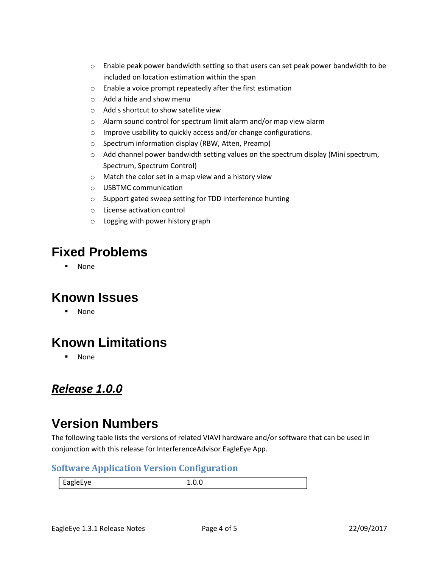- $\circ$  Enable peak power bandwidth setting so that users can set peak power bandwidth to be included on location estimation within the span
- o Enable a voice prompt repeatedly after the first estimation
- o Add a hide and show menu
- o Add s shortcut to show satellite view
- o Alarm sound control for spectrum limit alarm and/or map view alarm
- o Improve usability to quickly access and/or change configurations.
- o Spectrum information display (RBW, Atten, Preamp)
- $\circ$  Add channel power bandwidth setting values on the spectrum display (Mini spectrum, Spectrum, Spectrum Control)
- o Match the color set in a map view and a history view
- o USBTMC communication
- o Support gated sweep setting for TDD interference hunting
- o License activation control
- o Logging with power history graph

### **Fixed Problems**

▪ None

### **Known Issues**

**None** 

### **Known Limitations**

▪ None

#### <span id="page-3-0"></span>*Release 1.0.0*

### **Version Numbers**

The following table lists the versions of related VIAVI hardware and/or software that can be used in conjunction with this release for InterferenceAdvisor EagleEye App.

#### **Software Application Version Configuration**

EagleEye 1.0.0